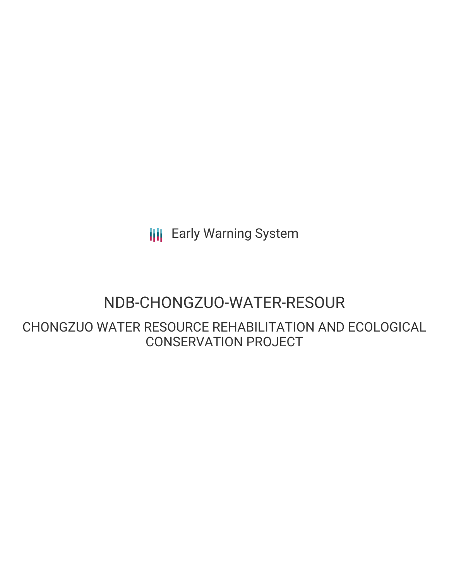**III** Early Warning System

# NDB-CHONGZUO-WATER-RESOUR

CHONGZUO WATER RESOURCE REHABILITATION AND ECOLOGICAL CONSERVATION PROJECT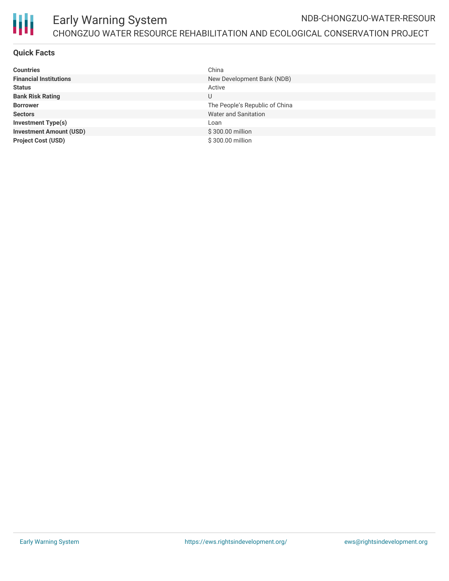

### **Quick Facts**

| <b>Countries</b>               | China                          |
|--------------------------------|--------------------------------|
| <b>Financial Institutions</b>  | New Development Bank (NDB)     |
| <b>Status</b>                  | Active                         |
| <b>Bank Risk Rating</b>        | U                              |
| <b>Borrower</b>                | The People's Republic of China |
| <b>Sectors</b>                 | Water and Sanitation           |
| <b>Investment Type(s)</b>      | Loan                           |
| <b>Investment Amount (USD)</b> | \$300,00 million               |
| <b>Project Cost (USD)</b>      | \$300.00 million               |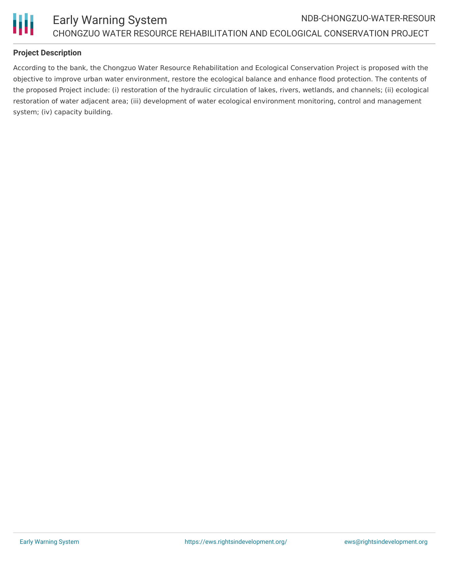

### **Project Description**

According to the bank, the Chongzuo Water Resource Rehabilitation and Ecological Conservation Project is proposed with the objective to improve urban water environment, restore the ecological balance and enhance flood protection. The contents of the proposed Project include: (i) restoration of the hydraulic circulation of lakes, rivers, wetlands, and channels; (ii) ecological restoration of water adjacent area; (iii) development of water ecological environment monitoring, control and management system; (iv) capacity building.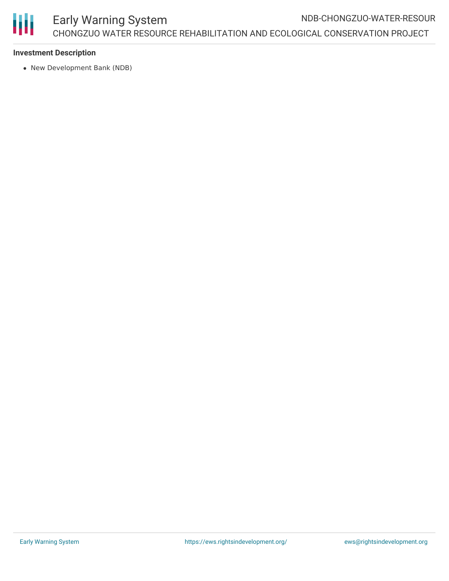

#### **Investment Description**

New Development Bank (NDB)